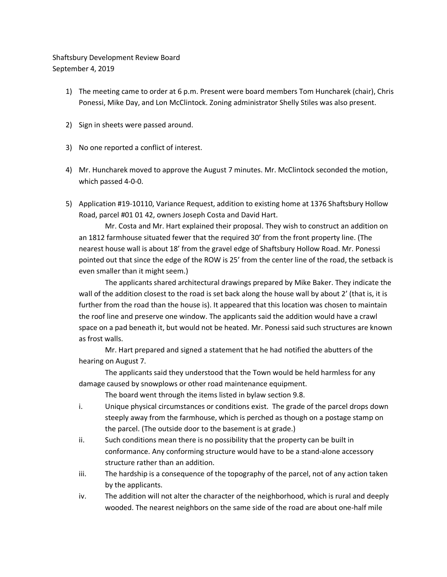## Shaftsbury Development Review Board September 4, 2019

- 1) The meeting came to order at 6 p.m. Present were board members Tom Huncharek (chair), Chris Ponessi, Mike Day, and Lon McClintock. Zoning administrator Shelly Stiles was also present.
- 2) Sign in sheets were passed around.
- 3) No one reported a conflict of interest.
- 4) Mr. Huncharek moved to approve the August 7 minutes. Mr. McClintock seconded the motion, which passed 4-0-0.
- 5) Application #19-10110, Variance Request, addition to existing home at 1376 Shaftsbury Hollow Road, parcel #01 01 42, owners Joseph Costa and David Hart.

Mr. Costa and Mr. Hart explained their proposal. They wish to construct an addition on an 1812 farmhouse situated fewer that the required 30' from the front property line. (The nearest house wall is about 18' from the gravel edge of Shaftsbury Hollow Road. Mr. Ponessi pointed out that since the edge of the ROW is 25' from the center line of the road, the setback is even smaller than it might seem.)

The applicants shared architectural drawings prepared by Mike Baker. They indicate the wall of the addition closest to the road is set back along the house wall by about 2' (that is, it is further from the road than the house is). It appeared that this location was chosen to maintain the roof line and preserve one window. The applicants said the addition would have a crawl space on a pad beneath it, but would not be heated. Mr. Ponessi said such structures are known as frost walls.

Mr. Hart prepared and signed a statement that he had notified the abutters of the hearing on August 7.

The applicants said they understood that the Town would be held harmless for any damage caused by snowplows or other road maintenance equipment.

The board went through the items listed in bylaw section 9.8.

- i. Unique physical circumstances or conditions exist. The grade of the parcel drops down steeply away from the farmhouse, which is perched as though on a postage stamp on the parcel. (The outside door to the basement is at grade.)
- ii. Such conditions mean there is no possibility that the property can be built in conformance. Any conforming structure would have to be a stand-alone accessory structure rather than an addition.
- iii. The hardship is a consequence of the topography of the parcel, not of any action taken by the applicants.
- iv. The addition will not alter the character of the neighborhood, which is rural and deeply wooded. The nearest neighbors on the same side of the road are about one-half mile